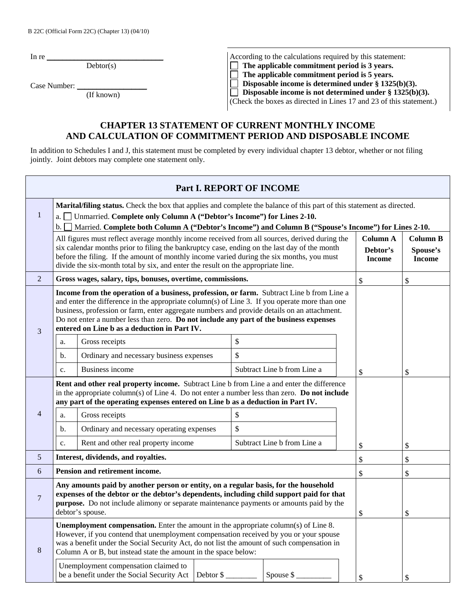In re

 $\overline{\text{Dektor}}(s)$ 

Case Number:

|  | known |  |
|--|-------|--|
|  |       |  |

According to the calculations required by this statement:<br>  $\Box$  The applicable commitment period is 3 years.<br>  $\Box$  The applicable commitment period is 5 years.  **The applicable commitment period is 3 years.**  □ The applicable commitment period is 5 years.<br>□ Disposable income is determined under § 1325  **Disposable income is determined under § 1325(b)(3). Disposable income is not determined under § 1325(b)(3).** 

(Check the boxes as directed in Lines 17 and 23 of this statement.)

## **CHAPTER 13 STATEMENT OF CURRENT MONTHLY INCOME AND CALCULATION OF COMMITMENT PERIOD AND DISPOSABLE INCOME**

In addition to Schedules I and J, this statement must be completed by every individual chapter 13 debtor, whether or not filing jointly. Joint debtors may complete one statement only.

|                                                                                                                                                                                                                                                                                                                                                                                                                                          | Part I. REPORT OF INCOME                                                                                                                                                                                                                                                                                                                                                                                                                                            |                                                                                                                                                                                                                                                                              |  |    |                             |  |                           |                           |
|------------------------------------------------------------------------------------------------------------------------------------------------------------------------------------------------------------------------------------------------------------------------------------------------------------------------------------------------------------------------------------------------------------------------------------------|---------------------------------------------------------------------------------------------------------------------------------------------------------------------------------------------------------------------------------------------------------------------------------------------------------------------------------------------------------------------------------------------------------------------------------------------------------------------|------------------------------------------------------------------------------------------------------------------------------------------------------------------------------------------------------------------------------------------------------------------------------|--|----|-----------------------------|--|---------------------------|---------------------------|
| $\mathbf{1}$                                                                                                                                                                                                                                                                                                                                                                                                                             | Marital/filing status. Check the box that applies and complete the balance of this part of this statement as directed.<br>a. Unmarried. Complete only Column A ("Debtor's Income") for Lines 2-10.<br>Married. Complete both Column A ("Debtor's Income") and Column B ("Spouse's Income") for Lines 2-10.<br>$\mathbf{b}$ . $\Box$<br>All figures must reflect average monthly income received from all sources, derived during the<br>Column A<br><b>Column B</b> |                                                                                                                                                                                                                                                                              |  |    |                             |  |                           |                           |
|                                                                                                                                                                                                                                                                                                                                                                                                                                          | six calendar months prior to filing the bankruptcy case, ending on the last day of the month<br>before the filing. If the amount of monthly income varied during the six months, you must<br>divide the six-month total by six, and enter the result on the appropriate line.                                                                                                                                                                                       |                                                                                                                                                                                                                                                                              |  |    |                             |  | Debtor's<br><b>Income</b> | Spouse's<br><b>Income</b> |
| $\overline{2}$                                                                                                                                                                                                                                                                                                                                                                                                                           |                                                                                                                                                                                                                                                                                                                                                                                                                                                                     | Gross wages, salary, tips, bonuses, overtime, commissions.                                                                                                                                                                                                                   |  |    |                             |  | \$                        | \$                        |
| Income from the operation of a business, profession, or farm. Subtract Line b from Line a<br>and enter the difference in the appropriate column(s) of Line 3. If you operate more than one<br>business, profession or farm, enter aggregate numbers and provide details on an attachment.<br>Do not enter a number less than zero. Do not include any part of the business expenses<br>entered on Line b as a deduction in Part IV.<br>3 |                                                                                                                                                                                                                                                                                                                                                                                                                                                                     |                                                                                                                                                                                                                                                                              |  |    |                             |  |                           |                           |
|                                                                                                                                                                                                                                                                                                                                                                                                                                          | a.                                                                                                                                                                                                                                                                                                                                                                                                                                                                  | Gross receipts                                                                                                                                                                                                                                                               |  | \$ |                             |  |                           |                           |
|                                                                                                                                                                                                                                                                                                                                                                                                                                          | b.                                                                                                                                                                                                                                                                                                                                                                                                                                                                  | Ordinary and necessary business expenses                                                                                                                                                                                                                                     |  | \$ |                             |  |                           |                           |
|                                                                                                                                                                                                                                                                                                                                                                                                                                          | $\overline{c}$ .                                                                                                                                                                                                                                                                                                                                                                                                                                                    | Business income                                                                                                                                                                                                                                                              |  |    | Subtract Line b from Line a |  | \$                        | \$                        |
|                                                                                                                                                                                                                                                                                                                                                                                                                                          |                                                                                                                                                                                                                                                                                                                                                                                                                                                                     | Rent and other real property income. Subtract Line b from Line a and enter the difference<br>in the appropriate column(s) of Line 4. Do not enter a number less than zero. Do not include<br>any part of the operating expenses entered on Line b as a deduction in Part IV. |  |    |                             |  |                           |                           |
| $\overline{4}$                                                                                                                                                                                                                                                                                                                                                                                                                           | a.                                                                                                                                                                                                                                                                                                                                                                                                                                                                  | Gross receipts                                                                                                                                                                                                                                                               |  | \$ |                             |  |                           |                           |
|                                                                                                                                                                                                                                                                                                                                                                                                                                          | b.                                                                                                                                                                                                                                                                                                                                                                                                                                                                  | Ordinary and necessary operating expenses                                                                                                                                                                                                                                    |  | \$ |                             |  |                           |                           |
|                                                                                                                                                                                                                                                                                                                                                                                                                                          | c.                                                                                                                                                                                                                                                                                                                                                                                                                                                                  | Rent and other real property income                                                                                                                                                                                                                                          |  |    | Subtract Line b from Line a |  | \$                        | \$                        |
| $\mathfrak{S}$                                                                                                                                                                                                                                                                                                                                                                                                                           |                                                                                                                                                                                                                                                                                                                                                                                                                                                                     | Interest, dividends, and royalties.                                                                                                                                                                                                                                          |  |    |                             |  | \$                        | \$                        |
| 6                                                                                                                                                                                                                                                                                                                                                                                                                                        |                                                                                                                                                                                                                                                                                                                                                                                                                                                                     | <b>Pension and retirement income.</b>                                                                                                                                                                                                                                        |  |    |                             |  | \$                        | \$                        |
| $\overline{7}$                                                                                                                                                                                                                                                                                                                                                                                                                           | Any amounts paid by another person or entity, on a regular basis, for the household<br>expenses of the debtor or the debtor's dependents, including child support paid for that<br><b>purpose.</b> Do not include alimony or separate maintenance payments or amounts paid by the<br>debtor's spouse.                                                                                                                                                               |                                                                                                                                                                                                                                                                              |  |    |                             |  | \$                        | \$                        |
| <b>Unemployment compensation.</b> Enter the amount in the appropriate column(s) of Line 8.<br>However, if you contend that unemployment compensation received by you or your spouse<br>was a benefit under the Social Security Act, do not list the amount of such compensation in<br>8<br>Column A or B, but instead state the amount in the space below:                                                                               |                                                                                                                                                                                                                                                                                                                                                                                                                                                                     |                                                                                                                                                                                                                                                                              |  |    |                             |  |                           |                           |
|                                                                                                                                                                                                                                                                                                                                                                                                                                          |                                                                                                                                                                                                                                                                                                                                                                                                                                                                     | Unemployment compensation claimed to<br>be a benefit under the Social Security Act   Debtor \$                                                                                                                                                                               |  |    | Spouse $\frac{1}{2}$        |  | \$                        | \$                        |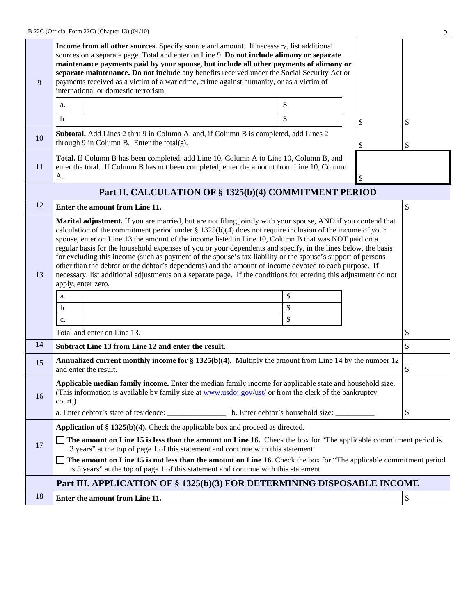| Income from all other sources. Specify source and amount. If necessary, list additional<br>sources on a separate page. Total and enter on Line 9. Do not include alimony or separate<br>maintenance payments paid by your spouse, but include all other payments of alimony or<br>separate maintenance. Do not include any benefits received under the Social Security Act or<br>payments received as a victim of a war crime, crime against humanity, or as a victim of<br>9<br>international or domestic terrorism. |                                                                                                                                                                                                                                                                                                                                                                                                                                                                                                                                                                                                                                                                                                                                                                                                                                                                       |                                                                                                                                                                                      |  |    |    |  |  |  |
|-----------------------------------------------------------------------------------------------------------------------------------------------------------------------------------------------------------------------------------------------------------------------------------------------------------------------------------------------------------------------------------------------------------------------------------------------------------------------------------------------------------------------|-----------------------------------------------------------------------------------------------------------------------------------------------------------------------------------------------------------------------------------------------------------------------------------------------------------------------------------------------------------------------------------------------------------------------------------------------------------------------------------------------------------------------------------------------------------------------------------------------------------------------------------------------------------------------------------------------------------------------------------------------------------------------------------------------------------------------------------------------------------------------|--------------------------------------------------------------------------------------------------------------------------------------------------------------------------------------|--|----|----|--|--|--|
|                                                                                                                                                                                                                                                                                                                                                                                                                                                                                                                       | \$<br>a.<br>\$<br>$\mathbf b$ .<br>\$                                                                                                                                                                                                                                                                                                                                                                                                                                                                                                                                                                                                                                                                                                                                                                                                                                 |                                                                                                                                                                                      |  |    |    |  |  |  |
|                                                                                                                                                                                                                                                                                                                                                                                                                                                                                                                       |                                                                                                                                                                                                                                                                                                                                                                                                                                                                                                                                                                                                                                                                                                                                                                                                                                                                       |                                                                                                                                                                                      |  |    | \$ |  |  |  |
| 10                                                                                                                                                                                                                                                                                                                                                                                                                                                                                                                    |                                                                                                                                                                                                                                                                                                                                                                                                                                                                                                                                                                                                                                                                                                                                                                                                                                                                       | <b>Subtotal.</b> Add Lines 2 thru 9 in Column A, and, if Column B is completed, add Lines 2<br>through $9$ in Column B. Enter the total(s).                                          |  | \$ | \$ |  |  |  |
| <sup>11</sup>                                                                                                                                                                                                                                                                                                                                                                                                                                                                                                         | А.                                                                                                                                                                                                                                                                                                                                                                                                                                                                                                                                                                                                                                                                                                                                                                                                                                                                    | Total. If Column B has been completed, add Line 10, Column A to Line 10, Column B, and<br>enter the total. If Column B has not been completed, enter the amount from Line 10, Column |  | \$ |    |  |  |  |
|                                                                                                                                                                                                                                                                                                                                                                                                                                                                                                                       |                                                                                                                                                                                                                                                                                                                                                                                                                                                                                                                                                                                                                                                                                                                                                                                                                                                                       | Part II. CALCULATION OF § 1325(b)(4) COMMITMENT PERIOD                                                                                                                               |  |    |    |  |  |  |
| 12                                                                                                                                                                                                                                                                                                                                                                                                                                                                                                                    |                                                                                                                                                                                                                                                                                                                                                                                                                                                                                                                                                                                                                                                                                                                                                                                                                                                                       | Enter the amount from Line 11.                                                                                                                                                       |  |    | \$ |  |  |  |
| 13                                                                                                                                                                                                                                                                                                                                                                                                                                                                                                                    | Marital adjustment. If you are married, but are not filing jointly with your spouse, AND if you contend that<br>calculation of the commitment period under $\S 1325(b)(4)$ does not require inclusion of the income of your<br>spouse, enter on Line 13 the amount of the income listed in Line 10, Column B that was NOT paid on a<br>regular basis for the household expenses of you or your dependents and specify, in the lines below, the basis<br>for excluding this income (such as payment of the spouse's tax liability or the spouse's support of persons<br>other than the debtor or the debtor's dependents) and the amount of income devoted to each purpose. If<br>necessary, list additional adjustments on a separate page. If the conditions for entering this adjustment do not<br>apply, enter zero.<br>\$<br>a.<br>\$<br>b.<br>$\mathbb{S}$<br>c. |                                                                                                                                                                                      |  |    |    |  |  |  |
|                                                                                                                                                                                                                                                                                                                                                                                                                                                                                                                       |                                                                                                                                                                                                                                                                                                                                                                                                                                                                                                                                                                                                                                                                                                                                                                                                                                                                       | Total and enter on Line 13.                                                                                                                                                          |  |    | \$ |  |  |  |
| 14                                                                                                                                                                                                                                                                                                                                                                                                                                                                                                                    |                                                                                                                                                                                                                                                                                                                                                                                                                                                                                                                                                                                                                                                                                                                                                                                                                                                                       | Subtract Line 13 from Line 12 and enter the result.                                                                                                                                  |  |    | \$ |  |  |  |
| 15                                                                                                                                                                                                                                                                                                                                                                                                                                                                                                                    |                                                                                                                                                                                                                                                                                                                                                                                                                                                                                                                                                                                                                                                                                                                                                                                                                                                                       | <b>Annualized current monthly income for <math>\S 1325(b)(4)</math>.</b> Multiply the amount from Line 14 by the number 12<br>and enter the result.                                  |  |    | \$ |  |  |  |
| 16                                                                                                                                                                                                                                                                                                                                                                                                                                                                                                                    | Applicable median family income. Enter the median family income for applicable state and household size.<br>(This information is available by family size at www.usdoj.gov/ust/ or from the clerk of the bankruptcy<br>court.)                                                                                                                                                                                                                                                                                                                                                                                                                                                                                                                                                                                                                                        |                                                                                                                                                                                      |  |    |    |  |  |  |
|                                                                                                                                                                                                                                                                                                                                                                                                                                                                                                                       |                                                                                                                                                                                                                                                                                                                                                                                                                                                                                                                                                                                                                                                                                                                                                                                                                                                                       | Application of $\S 1325(b)(4)$ . Check the applicable box and proceed as directed.                                                                                                   |  |    |    |  |  |  |
| 17                                                                                                                                                                                                                                                                                                                                                                                                                                                                                                                    | The amount on Line 15 is less than the amount on Line 16. Check the box for "The applicable commitment period is<br>3 years" at the top of page 1 of this statement and continue with this statement.                                                                                                                                                                                                                                                                                                                                                                                                                                                                                                                                                                                                                                                                 |                                                                                                                                                                                      |  |    |    |  |  |  |
|                                                                                                                                                                                                                                                                                                                                                                                                                                                                                                                       | The amount on Line 15 is not less than the amount on Line 16. Check the box for "The applicable commitment period<br>is 5 years" at the top of page 1 of this statement and continue with this statement.                                                                                                                                                                                                                                                                                                                                                                                                                                                                                                                                                                                                                                                             |                                                                                                                                                                                      |  |    |    |  |  |  |
|                                                                                                                                                                                                                                                                                                                                                                                                                                                                                                                       |                                                                                                                                                                                                                                                                                                                                                                                                                                                                                                                                                                                                                                                                                                                                                                                                                                                                       | Part III. APPLICATION OF § 1325(b)(3) FOR DETERMINING DISPOSABLE INCOME                                                                                                              |  |    |    |  |  |  |
| 18                                                                                                                                                                                                                                                                                                                                                                                                                                                                                                                    |                                                                                                                                                                                                                                                                                                                                                                                                                                                                                                                                                                                                                                                                                                                                                                                                                                                                       | Enter the amount from Line 11.                                                                                                                                                       |  |    | \$ |  |  |  |
|                                                                                                                                                                                                                                                                                                                                                                                                                                                                                                                       |                                                                                                                                                                                                                                                                                                                                                                                                                                                                                                                                                                                                                                                                                                                                                                                                                                                                       |                                                                                                                                                                                      |  |    |    |  |  |  |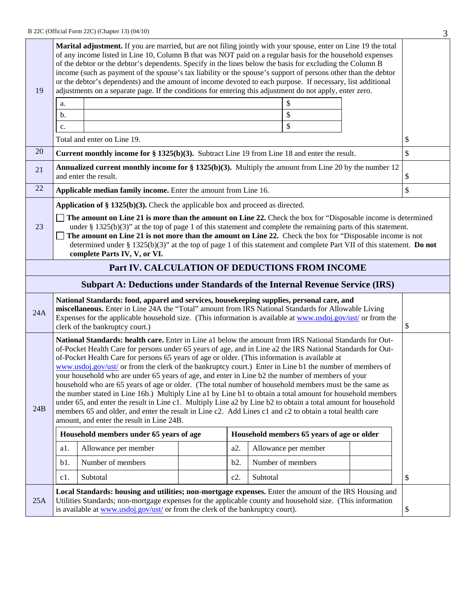|                                                                                       |                                                                                                                                                                                                                                                                                                                                                                                                                                                                                                                                                                                                                                                                                                                                                                                                                                                                                                                                                                                                                                           |                                                                                                                                                                                                                      |  |        |                   |                      |  | J      |
|---------------------------------------------------------------------------------------|-------------------------------------------------------------------------------------------------------------------------------------------------------------------------------------------------------------------------------------------------------------------------------------------------------------------------------------------------------------------------------------------------------------------------------------------------------------------------------------------------------------------------------------------------------------------------------------------------------------------------------------------------------------------------------------------------------------------------------------------------------------------------------------------------------------------------------------------------------------------------------------------------------------------------------------------------------------------------------------------------------------------------------------------|----------------------------------------------------------------------------------------------------------------------------------------------------------------------------------------------------------------------|--|--------|-------------------|----------------------|--|--------|
| 19                                                                                    | Marital adjustment. If you are married, but are not filing jointly with your spouse, enter on Line 19 the total<br>of any income listed in Line 10, Column B that was NOT paid on a regular basis for the household expenses<br>of the debtor or the debtor's dependents. Specify in the lines below the basis for excluding the Column B<br>income (such as payment of the spouse's tax liability or the spouse's support of persons other than the debtor<br>or the debtor's dependents) and the amount of income devoted to each purpose. If necessary, list additional<br>adjustments on a separate page. If the conditions for entering this adjustment do not apply, enter zero.<br>\$                                                                                                                                                                                                                                                                                                                                              |                                                                                                                                                                                                                      |  |        |                   |                      |  |        |
|                                                                                       | a.                                                                                                                                                                                                                                                                                                                                                                                                                                                                                                                                                                                                                                                                                                                                                                                                                                                                                                                                                                                                                                        |                                                                                                                                                                                                                      |  |        |                   |                      |  |        |
|                                                                                       | b.                                                                                                                                                                                                                                                                                                                                                                                                                                                                                                                                                                                                                                                                                                                                                                                                                                                                                                                                                                                                                                        |                                                                                                                                                                                                                      |  |        |                   | \$<br>\$             |  |        |
|                                                                                       | c.                                                                                                                                                                                                                                                                                                                                                                                                                                                                                                                                                                                                                                                                                                                                                                                                                                                                                                                                                                                                                                        | Total and enter on Line 19.                                                                                                                                                                                          |  |        |                   |                      |  | \$     |
| 20                                                                                    |                                                                                                                                                                                                                                                                                                                                                                                                                                                                                                                                                                                                                                                                                                                                                                                                                                                                                                                                                                                                                                           |                                                                                                                                                                                                                      |  |        |                   |                      |  | \$     |
|                                                                                       |                                                                                                                                                                                                                                                                                                                                                                                                                                                                                                                                                                                                                                                                                                                                                                                                                                                                                                                                                                                                                                           | <b>Current monthly income for <math>\S</math> 1325(b)(3).</b> Subtract Line 19 from Line 18 and enter the result.                                                                                                    |  |        |                   |                      |  |        |
| 21                                                                                    |                                                                                                                                                                                                                                                                                                                                                                                                                                                                                                                                                                                                                                                                                                                                                                                                                                                                                                                                                                                                                                           | <b>Annualized current monthly income for <math>\S 1325(b)(3)</math>.</b> Multiply the amount from Line 20 by the number 12<br>and enter the result.                                                                  |  |        |                   |                      |  | \$     |
| 22                                                                                    |                                                                                                                                                                                                                                                                                                                                                                                                                                                                                                                                                                                                                                                                                                                                                                                                                                                                                                                                                                                                                                           | Applicable median family income. Enter the amount from Line 16.                                                                                                                                                      |  |        |                   |                      |  | \$     |
|                                                                                       |                                                                                                                                                                                                                                                                                                                                                                                                                                                                                                                                                                                                                                                                                                                                                                                                                                                                                                                                                                                                                                           | Application of $\S 1325(b)(3)$ . Check the applicable box and proceed as directed.                                                                                                                                   |  |        |                   |                      |  |        |
| 23                                                                                    | The amount on Line 21 is more than the amount on Line 22. Check the box for "Disposable income is determined"<br>under § 1325(b)(3)" at the top of page 1 of this statement and complete the remaining parts of this statement.<br>The amount on Line 21 is not more than the amount on Line 22. Check the box for "Disposable income is not<br>determined under § 1325(b)(3)" at the top of page 1 of this statement and complete Part VII of this statement. Do not<br>complete Parts IV, V, or VI.                                                                                                                                                                                                                                                                                                                                                                                                                                                                                                                                     |                                                                                                                                                                                                                      |  |        |                   |                      |  |        |
|                                                                                       |                                                                                                                                                                                                                                                                                                                                                                                                                                                                                                                                                                                                                                                                                                                                                                                                                                                                                                                                                                                                                                           | Part IV. CALCULATION OF DEDUCTIONS FROM INCOME                                                                                                                                                                       |  |        |                   |                      |  |        |
|                                                                                       |                                                                                                                                                                                                                                                                                                                                                                                                                                                                                                                                                                                                                                                                                                                                                                                                                                                                                                                                                                                                                                           | <b>Subpart A: Deductions under Standards of the Internal Revenue Service (IRS)</b>                                                                                                                                   |  |        |                   |                      |  |        |
| 24A                                                                                   | National Standards: food, apparel and services, housekeeping supplies, personal care, and<br>miscellaneous. Enter in Line 24A the "Total" amount from IRS National Standards for Allowable Living<br>Expenses for the applicable household size. (This information is available at www.usdoj.gov/ust/ or from the<br>clerk of the bankruptcy court.)                                                                                                                                                                                                                                                                                                                                                                                                                                                                                                                                                                                                                                                                                      |                                                                                                                                                                                                                      |  |        |                   | \$                   |  |        |
| 24B                                                                                   | National Standards: health care. Enter in Line a1 below the amount from IRS National Standards for Out-<br>of-Pocket Health Care for persons under 65 years of age, and in Line a2 the IRS National Standards for Out-<br>of-Pocket Health Care for persons 65 years of age or older. (This information is available at<br>www.usdoj.gov/ust/ or from the clerk of the bankruptcy court.) Enter in Line b1 the number of members of<br>your household who are under 65 years of age, and enter in Line b2 the number of members of your<br>household who are 65 years of age or older. (The total number of household members must be the same as<br>the number stated in Line 16b.) Multiply Line a1 by Line b1 to obtain a total amount for household members<br>under 65, and enter the result in Line c1. Multiply Line a2 by Line b2 to obtain a total amount for household<br>members 65 and older, and enter the result in Line c2. Add Lines c1 and c2 to obtain a total health care<br>amount, and enter the result in Line 24B. |                                                                                                                                                                                                                      |  |        |                   |                      |  |        |
| Household members under 65 years of age<br>Household members 65 years of age or older |                                                                                                                                                                                                                                                                                                                                                                                                                                                                                                                                                                                                                                                                                                                                                                                                                                                                                                                                                                                                                                           |                                                                                                                                                                                                                      |  |        |                   |                      |  |        |
|                                                                                       | a1.                                                                                                                                                                                                                                                                                                                                                                                                                                                                                                                                                                                                                                                                                                                                                                                                                                                                                                                                                                                                                                       | Allowance per member                                                                                                                                                                                                 |  | a2.    |                   | Allowance per member |  |        |
|                                                                                       | b1.                                                                                                                                                                                                                                                                                                                                                                                                                                                                                                                                                                                                                                                                                                                                                                                                                                                                                                                                                                                                                                       | Number of members                                                                                                                                                                                                    |  | b2.    | Number of members |                      |  |        |
|                                                                                       | c1.                                                                                                                                                                                                                                                                                                                                                                                                                                                                                                                                                                                                                                                                                                                                                                                                                                                                                                                                                                                                                                       | Subtotal                                                                                                                                                                                                             |  | $c2$ . | Subtotal          |                      |  | $\$\,$ |
| 25A                                                                                   |                                                                                                                                                                                                                                                                                                                                                                                                                                                                                                                                                                                                                                                                                                                                                                                                                                                                                                                                                                                                                                           | Local Standards: housing and utilities; non-mortgage expenses. Enter the amount of the IRS Housing and<br>Utilities Standards; non-mortgage expenses for the applicable county and household size. (This information |  |        |                   |                      |  | \$     |
| is available at www.usdoj.gov/ust/ or from the clerk of the bankruptcy court).        |                                                                                                                                                                                                                                                                                                                                                                                                                                                                                                                                                                                                                                                                                                                                                                                                                                                                                                                                                                                                                                           |                                                                                                                                                                                                                      |  |        |                   |                      |  |        |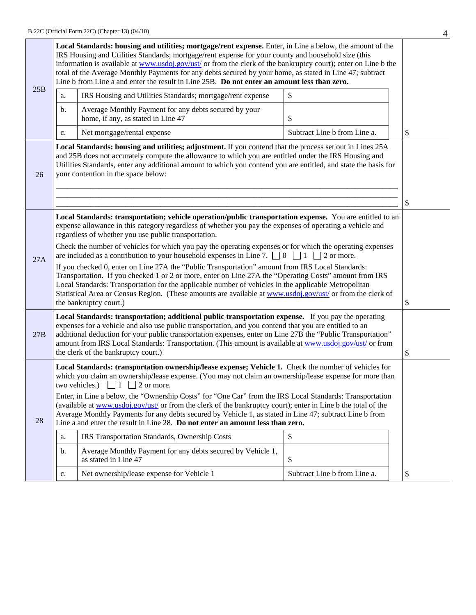| Local Standards: housing and utilities; mortgage/rent expense. Enter, in Line a below, the amount of the<br>IRS Housing and Utilities Standards; mortgage/rent expense for your county and household size (this<br>information is available at www.usdoj.gov/ust/ or from the clerk of the bankruptcy court); enter on Line b the<br>total of the Average Monthly Payments for any debts secured by your home, as stated in Line 47; subtract<br>Line b from Line a and enter the result in Line 25B. Do not enter an amount less than zero. |                                                                                                                                                                                                                                                                                                                                                                                                                                                                                 |                                                                                                                                                                                                                                                                              |                              |    |  |  |  |
|----------------------------------------------------------------------------------------------------------------------------------------------------------------------------------------------------------------------------------------------------------------------------------------------------------------------------------------------------------------------------------------------------------------------------------------------------------------------------------------------------------------------------------------------|---------------------------------------------------------------------------------------------------------------------------------------------------------------------------------------------------------------------------------------------------------------------------------------------------------------------------------------------------------------------------------------------------------------------------------------------------------------------------------|------------------------------------------------------------------------------------------------------------------------------------------------------------------------------------------------------------------------------------------------------------------------------|------------------------------|----|--|--|--|
| 25B                                                                                                                                                                                                                                                                                                                                                                                                                                                                                                                                          | a.                                                                                                                                                                                                                                                                                                                                                                                                                                                                              | IRS Housing and Utilities Standards; mortgage/rent expense                                                                                                                                                                                                                   | \$                           |    |  |  |  |
|                                                                                                                                                                                                                                                                                                                                                                                                                                                                                                                                              | b.                                                                                                                                                                                                                                                                                                                                                                                                                                                                              | Average Monthly Payment for any debts secured by your<br>home, if any, as stated in Line 47                                                                                                                                                                                  | \$                           |    |  |  |  |
|                                                                                                                                                                                                                                                                                                                                                                                                                                                                                                                                              | c.                                                                                                                                                                                                                                                                                                                                                                                                                                                                              | Net mortgage/rental expense                                                                                                                                                                                                                                                  | Subtract Line b from Line a. | \$ |  |  |  |
| 26                                                                                                                                                                                                                                                                                                                                                                                                                                                                                                                                           | Local Standards: housing and utilities; adjustment. If you contend that the process set out in Lines 25A<br>and 25B does not accurately compute the allowance to which you are entitled under the IRS Housing and<br>Utilities Standards, enter any additional amount to which you contend you are entitled, and state the basis for<br>your contention in the space below:                                                                                                     |                                                                                                                                                                                                                                                                              |                              |    |  |  |  |
|                                                                                                                                                                                                                                                                                                                                                                                                                                                                                                                                              |                                                                                                                                                                                                                                                                                                                                                                                                                                                                                 | Local Standards: transportation; vehicle operation/public transportation expense. You are entitled to an<br>expense allowance in this category regardless of whether you pay the expenses of operating a vehicle and<br>regardless of whether you use public transportation. |                              |    |  |  |  |
|                                                                                                                                                                                                                                                                                                                                                                                                                                                                                                                                              | Check the number of vehicles for which you pay the operating expenses or for which the operating expenses<br>are included as a contribution to your household expenses in Line 7. $\Box$ 0 $\Box$ 1 $\Box$ 2 or more.                                                                                                                                                                                                                                                           |                                                                                                                                                                                                                                                                              |                              |    |  |  |  |
| 27A                                                                                                                                                                                                                                                                                                                                                                                                                                                                                                                                          | If you checked 0, enter on Line 27A the "Public Transportation" amount from IRS Local Standards:<br>Transportation. If you checked 1 or 2 or more, enter on Line 27A the "Operating Costs" amount from IRS<br>Local Standards: Transportation for the applicable number of vehicles in the applicable Metropolitan<br>Statistical Area or Census Region. (These amounts are available at www.usdoj.gov/ust/ or from the clerk of<br>the bankruptcy court.)                      |                                                                                                                                                                                                                                                                              |                              |    |  |  |  |
| 27B                                                                                                                                                                                                                                                                                                                                                                                                                                                                                                                                          | Local Standards: transportation; additional public transportation expense. If you pay the operating<br>expenses for a vehicle and also use public transportation, and you contend that you are entitled to an<br>additional deduction for your public transportation expenses, enter on Line 27B the "Public Transportation"<br>amount from IRS Local Standards: Transportation. (This amount is available at www.usdoj.gov/ust/ or from<br>the clerk of the bankruptcy court.) |                                                                                                                                                                                                                                                                              |                              |    |  |  |  |
|                                                                                                                                                                                                                                                                                                                                                                                                                                                                                                                                              | Local Standards: transportation ownership/lease expense; Vehicle 1. Check the number of vehicles for<br>which you claim an ownership/lease expense. (You may not claim an ownership/lease expense for more than<br>two vehicles.) $\Box$ 1 $\Box$ 2 or more.                                                                                                                                                                                                                    |                                                                                                                                                                                                                                                                              |                              |    |  |  |  |
| 28                                                                                                                                                                                                                                                                                                                                                                                                                                                                                                                                           | Enter, in Line a below, the "Ownership Costs" for "One Car" from the IRS Local Standards: Transportation<br>(available at www.usdoj.gov/ust/ or from the clerk of the bankruptcy court); enter in Line b the total of the<br>Average Monthly Payments for any debts secured by Vehicle 1, as stated in Line 47; subtract Line b from<br>Line a and enter the result in Line 28. Do not enter an amount less than zero.                                                          |                                                                                                                                                                                                                                                                              |                              |    |  |  |  |
|                                                                                                                                                                                                                                                                                                                                                                                                                                                                                                                                              | a.                                                                                                                                                                                                                                                                                                                                                                                                                                                                              | IRS Transportation Standards, Ownership Costs                                                                                                                                                                                                                                | $\mathcal{S}$                |    |  |  |  |
|                                                                                                                                                                                                                                                                                                                                                                                                                                                                                                                                              | b.                                                                                                                                                                                                                                                                                                                                                                                                                                                                              | Average Monthly Payment for any debts secured by Vehicle 1,<br>as stated in Line 47                                                                                                                                                                                          | \$                           |    |  |  |  |
|                                                                                                                                                                                                                                                                                                                                                                                                                                                                                                                                              | c.                                                                                                                                                                                                                                                                                                                                                                                                                                                                              | Net ownership/lease expense for Vehicle 1                                                                                                                                                                                                                                    | Subtract Line b from Line a. | \$ |  |  |  |
|                                                                                                                                                                                                                                                                                                                                                                                                                                                                                                                                              |                                                                                                                                                                                                                                                                                                                                                                                                                                                                                 |                                                                                                                                                                                                                                                                              |                              |    |  |  |  |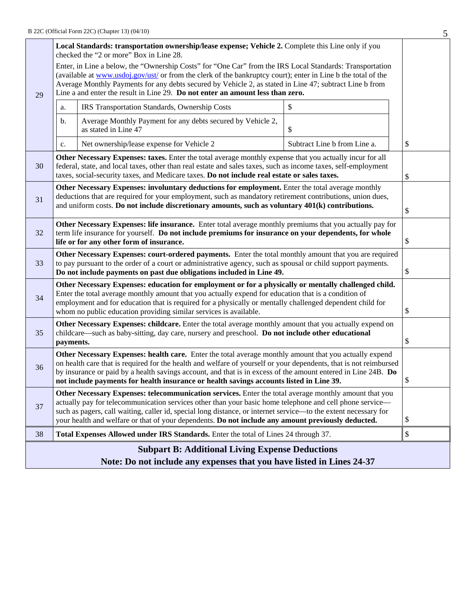|                                                                                                                                                                                                                                                                                                                                                                                                                              | Local Standards: transportation ownership/lease expense; Vehicle 2. Complete this Line only if you<br>checked the "2 or more" Box in Line 28.                                                                                                                                                                                                                                                                                              |                                                                                                                                                                                                                                                                                                                            |                              |    |  |  |
|------------------------------------------------------------------------------------------------------------------------------------------------------------------------------------------------------------------------------------------------------------------------------------------------------------------------------------------------------------------------------------------------------------------------------|--------------------------------------------------------------------------------------------------------------------------------------------------------------------------------------------------------------------------------------------------------------------------------------------------------------------------------------------------------------------------------------------------------------------------------------------|----------------------------------------------------------------------------------------------------------------------------------------------------------------------------------------------------------------------------------------------------------------------------------------------------------------------------|------------------------------|----|--|--|
| Enter, in Line a below, the "Ownership Costs" for "One Car" from the IRS Local Standards: Transportation<br>(available at www.usdoj.gov/ust/ or from the clerk of the bankruptcy court); enter in Line b the total of the<br>Average Monthly Payments for any debts secured by Vehicle 2, as stated in Line 47; subtract Line b from<br>Line a and enter the result in Line 29. Do not enter an amount less than zero.<br>29 |                                                                                                                                                                                                                                                                                                                                                                                                                                            |                                                                                                                                                                                                                                                                                                                            |                              |    |  |  |
|                                                                                                                                                                                                                                                                                                                                                                                                                              | a.                                                                                                                                                                                                                                                                                                                                                                                                                                         | IRS Transportation Standards, Ownership Costs                                                                                                                                                                                                                                                                              | \$                           |    |  |  |
|                                                                                                                                                                                                                                                                                                                                                                                                                              | b.                                                                                                                                                                                                                                                                                                                                                                                                                                         | Average Monthly Payment for any debts secured by Vehicle 2,<br>as stated in Line 47                                                                                                                                                                                                                                        | \$                           |    |  |  |
|                                                                                                                                                                                                                                                                                                                                                                                                                              | c.                                                                                                                                                                                                                                                                                                                                                                                                                                         | Net ownership/lease expense for Vehicle 2                                                                                                                                                                                                                                                                                  | Subtract Line b from Line a. | \$ |  |  |
| 30                                                                                                                                                                                                                                                                                                                                                                                                                           |                                                                                                                                                                                                                                                                                                                                                                                                                                            | Other Necessary Expenses: taxes. Enter the total average monthly expense that you actually incur for all<br>federal, state, and local taxes, other than real estate and sales taxes, such as income taxes, self-employment<br>taxes, social-security taxes, and Medicare taxes. Do not include real estate or sales taxes. |                              | \$ |  |  |
|                                                                                                                                                                                                                                                                                                                                                                                                                              |                                                                                                                                                                                                                                                                                                                                                                                                                                            | Other Necessary Expenses: involuntary deductions for employment. Enter the total average monthly                                                                                                                                                                                                                           |                              |    |  |  |
| deductions that are required for your employment, such as mandatory retirement contributions, union dues,<br>31<br>and uniform costs. Do not include discretionary amounts, such as voluntary 401(k) contributions.                                                                                                                                                                                                          |                                                                                                                                                                                                                                                                                                                                                                                                                                            |                                                                                                                                                                                                                                                                                                                            |                              |    |  |  |
| 32                                                                                                                                                                                                                                                                                                                                                                                                                           | Other Necessary Expenses: life insurance. Enter total average monthly premiums that you actually pay for<br>term life insurance for yourself. Do not include premiums for insurance on your dependents, for whole                                                                                                                                                                                                                          |                                                                                                                                                                                                                                                                                                                            |                              |    |  |  |
|                                                                                                                                                                                                                                                                                                                                                                                                                              | life or for any other form of insurance.<br>Other Necessary Expenses: court-ordered payments. Enter the total monthly amount that you are required                                                                                                                                                                                                                                                                                         |                                                                                                                                                                                                                                                                                                                            |                              |    |  |  |
| 33                                                                                                                                                                                                                                                                                                                                                                                                                           | to pay pursuant to the order of a court or administrative agency, such as spousal or child support payments.<br>Do not include payments on past due obligations included in Line 49.                                                                                                                                                                                                                                                       |                                                                                                                                                                                                                                                                                                                            |                              |    |  |  |
| Other Necessary Expenses: education for employment or for a physically or mentally challenged child.<br>Enter the total average monthly amount that you actually expend for education that is a condition of<br>34<br>employment and for education that is required for a physically or mentally challenged dependent child for<br>whom no public education providing similar services is available.                         |                                                                                                                                                                                                                                                                                                                                                                                                                                            |                                                                                                                                                                                                                                                                                                                            |                              |    |  |  |
| 35                                                                                                                                                                                                                                                                                                                                                                                                                           | Other Necessary Expenses: childcare. Enter the total average monthly amount that you actually expend on<br>childcare—such as baby-sitting, day care, nursery and preschool. Do not include other educational<br>payments.                                                                                                                                                                                                                  |                                                                                                                                                                                                                                                                                                                            |                              |    |  |  |
| 36                                                                                                                                                                                                                                                                                                                                                                                                                           | Other Necessary Expenses: health care. Enter the total average monthly amount that you actually expend<br>on health care that is required for the health and welfare of yourself or your dependents, that is not reimbursed<br>by insurance or paid by a health savings account, and that is in excess of the amount entered in Line 24B. Do<br>not include payments for health insurance or health savings accounts listed in Line 39.    |                                                                                                                                                                                                                                                                                                                            |                              | \$ |  |  |
| 37                                                                                                                                                                                                                                                                                                                                                                                                                           | Other Necessary Expenses: telecommunication services. Enter the total average monthly amount that you<br>actually pay for telecommunication services other than your basic home telephone and cell phone service—<br>such as pagers, call waiting, caller id, special long distance, or internet service—to the extent necessary for<br>your health and welfare or that of your dependents. Do not include any amount previously deducted. |                                                                                                                                                                                                                                                                                                                            |                              |    |  |  |
| 38                                                                                                                                                                                                                                                                                                                                                                                                                           |                                                                                                                                                                                                                                                                                                                                                                                                                                            | Total Expenses Allowed under IRS Standards. Enter the total of Lines 24 through 37.                                                                                                                                                                                                                                        |                              | \$ |  |  |
|                                                                                                                                                                                                                                                                                                                                                                                                                              | <b>Subpart B: Additional Living Expense Deductions</b>                                                                                                                                                                                                                                                                                                                                                                                     |                                                                                                                                                                                                                                                                                                                            |                              |    |  |  |
|                                                                                                                                                                                                                                                                                                                                                                                                                              | Note: Do not include any expenses that you have listed in Lines 24-37                                                                                                                                                                                                                                                                                                                                                                      |                                                                                                                                                                                                                                                                                                                            |                              |    |  |  |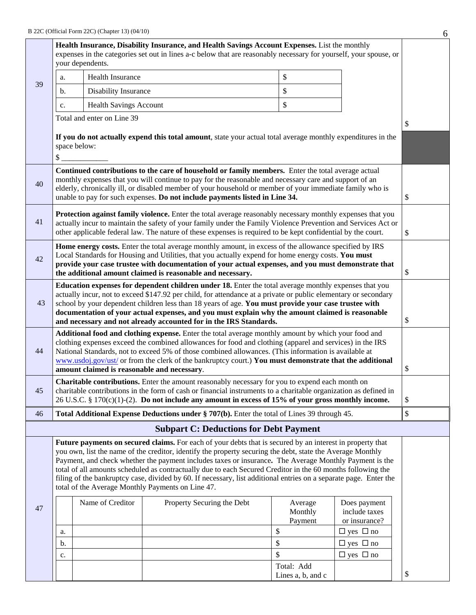|    | Health Insurance, Disability Insurance, and Health Savings Account Expenses. List the monthly                                                                                                                                                                                                                                                                                                                                                                                                                                                                                                                              |                               |                                                                                                                                                                                                                                                                                                                                                                                                         |  |                               |                                                |      |
|----|----------------------------------------------------------------------------------------------------------------------------------------------------------------------------------------------------------------------------------------------------------------------------------------------------------------------------------------------------------------------------------------------------------------------------------------------------------------------------------------------------------------------------------------------------------------------------------------------------------------------------|-------------------------------|---------------------------------------------------------------------------------------------------------------------------------------------------------------------------------------------------------------------------------------------------------------------------------------------------------------------------------------------------------------------------------------------------------|--|-------------------------------|------------------------------------------------|------|
|    |                                                                                                                                                                                                                                                                                                                                                                                                                                                                                                                                                                                                                            | your dependents.              | expenses in the categories set out in lines a-c below that are reasonably necessary for yourself, your spouse, or                                                                                                                                                                                                                                                                                       |  |                               |                                                |      |
|    | a.                                                                                                                                                                                                                                                                                                                                                                                                                                                                                                                                                                                                                         | <b>Health Insurance</b>       |                                                                                                                                                                                                                                                                                                                                                                                                         |  | \$                            |                                                |      |
| 39 | b.                                                                                                                                                                                                                                                                                                                                                                                                                                                                                                                                                                                                                         | Disability Insurance          |                                                                                                                                                                                                                                                                                                                                                                                                         |  | \$                            |                                                |      |
|    | c.                                                                                                                                                                                                                                                                                                                                                                                                                                                                                                                                                                                                                         | <b>Health Savings Account</b> |                                                                                                                                                                                                                                                                                                                                                                                                         |  | \$                            |                                                |      |
|    | Total and enter on Line 39                                                                                                                                                                                                                                                                                                                                                                                                                                                                                                                                                                                                 |                               |                                                                                                                                                                                                                                                                                                                                                                                                         |  |                               |                                                |      |
|    | If you do not actually expend this total amount, state your actual total average monthly expenditures in the<br>space below:<br>\$                                                                                                                                                                                                                                                                                                                                                                                                                                                                                         |                               |                                                                                                                                                                                                                                                                                                                                                                                                         |  |                               |                                                |      |
| 40 |                                                                                                                                                                                                                                                                                                                                                                                                                                                                                                                                                                                                                            |                               | Continued contributions to the care of household or family members. Enter the total average actual<br>monthly expenses that you will continue to pay for the reasonable and necessary care and support of an<br>elderly, chronically ill, or disabled member of your household or member of your immediate family who is<br>unable to pay for such expenses. Do not include payments listed in Line 34. |  |                               |                                                | \$   |
| 41 |                                                                                                                                                                                                                                                                                                                                                                                                                                                                                                                                                                                                                            |                               | Protection against family violence. Enter the total average reasonably necessary monthly expenses that you<br>actually incur to maintain the safety of your family under the Family Violence Prevention and Services Act or<br>other applicable federal law. The nature of these expenses is required to be kept confidential by the court.                                                             |  |                               |                                                | $\$$ |
| 42 | Home energy costs. Enter the total average monthly amount, in excess of the allowance specified by IRS<br>Local Standards for Housing and Utilities, that you actually expend for home energy costs. You must<br>provide your case trustee with documentation of your actual expenses, and you must demonstrate that<br>the additional amount claimed is reasonable and necessary.                                                                                                                                                                                                                                         |                               |                                                                                                                                                                                                                                                                                                                                                                                                         |  |                               |                                                | \$   |
| 43 | <b>Education expenses for dependent children under 18.</b> Enter the total average monthly expenses that you<br>actually incur, not to exceed \$147.92 per child, for attendance at a private or public elementary or secondary<br>school by your dependent children less than 18 years of age. You must provide your case trustee with<br>documentation of your actual expenses, and you must explain why the amount claimed is reasonable<br>and necessary and not already accounted for in the IRS Standards.                                                                                                           |                               |                                                                                                                                                                                                                                                                                                                                                                                                         |  |                               |                                                | \$   |
| 44 | Additional food and clothing expense. Enter the total average monthly amount by which your food and<br>clothing expenses exceed the combined allowances for food and clothing (apparel and services) in the IRS<br>National Standards, not to exceed 5% of those combined allowances. (This information is available at<br>www.usdoj.gov/ust/ or from the clerk of the bankruptcy court.) You must demonstrate that the additional<br>amount claimed is reasonable and necessary.                                                                                                                                          |                               |                                                                                                                                                                                                                                                                                                                                                                                                         |  |                               |                                                | \$   |
| 45 | Charitable contributions. Enter the amount reasonably necessary for you to expend each month on<br>charitable contributions in the form of cash or financial instruments to a charitable organization as defined in<br>26 U.S.C. § 170(c)(1)-(2). Do not include any amount in excess of 15% of your gross monthly income.                                                                                                                                                                                                                                                                                                 |                               |                                                                                                                                                                                                                                                                                                                                                                                                         |  |                               |                                                | \$   |
| 46 |                                                                                                                                                                                                                                                                                                                                                                                                                                                                                                                                                                                                                            |                               | Total Additional Expense Deductions under § 707(b). Enter the total of Lines 39 through 45.                                                                                                                                                                                                                                                                                                             |  |                               |                                                | \$   |
|    |                                                                                                                                                                                                                                                                                                                                                                                                                                                                                                                                                                                                                            |                               | <b>Subpart C: Deductions for Debt Payment</b>                                                                                                                                                                                                                                                                                                                                                           |  |                               |                                                |      |
|    | Future payments on secured claims. For each of your debts that is secured by an interest in property that<br>you own, list the name of the creditor, identify the property securing the debt, state the Average Monthly<br>Payment, and check whether the payment includes taxes or insurance. The Average Monthly Payment is the<br>total of all amounts scheduled as contractually due to each Secured Creditor in the 60 months following the<br>filing of the bankruptcy case, divided by 60. If necessary, list additional entries on a separate page. Enter the<br>total of the Average Monthly Payments on Line 47. |                               |                                                                                                                                                                                                                                                                                                                                                                                                         |  |                               |                                                |      |
| 47 |                                                                                                                                                                                                                                                                                                                                                                                                                                                                                                                                                                                                                            | Name of Creditor              | Property Securing the Debt                                                                                                                                                                                                                                                                                                                                                                              |  | Average<br>Monthly<br>Payment | Does payment<br>include taxes<br>or insurance? |      |
|    | a.                                                                                                                                                                                                                                                                                                                                                                                                                                                                                                                                                                                                                         |                               |                                                                                                                                                                                                                                                                                                                                                                                                         |  | $\$$                          | $\Box$ yes $\Box$ no                           |      |
|    | b.                                                                                                                                                                                                                                                                                                                                                                                                                                                                                                                                                                                                                         |                               |                                                                                                                                                                                                                                                                                                                                                                                                         |  | $\$\,$<br>$\mathbb{S}$        | $\Box$ yes $\Box$ no                           |      |
|    | c.                                                                                                                                                                                                                                                                                                                                                                                                                                                                                                                                                                                                                         |                               |                                                                                                                                                                                                                                                                                                                                                                                                         |  | Total: Add                    | $\Box$ yes $\Box$ no                           |      |
|    |                                                                                                                                                                                                                                                                                                                                                                                                                                                                                                                                                                                                                            |                               |                                                                                                                                                                                                                                                                                                                                                                                                         |  | Lines a, b, and c             |                                                | \$   |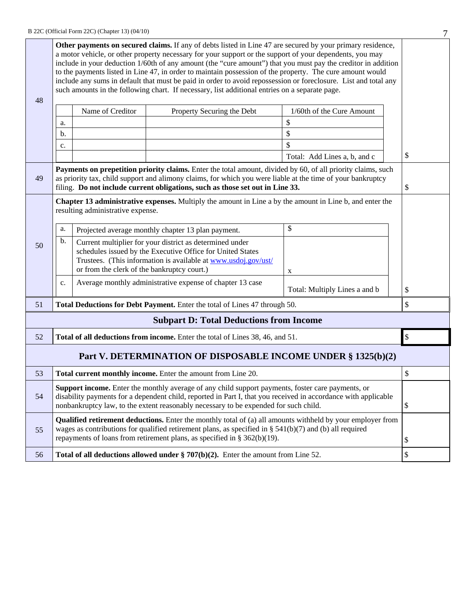| 48 | Other payments on secured claims. If any of debts listed in Line 47 are secured by your primary residence,<br>a motor vehicle, or other property necessary for your support or the support of your dependents, you may<br>include in your deduction 1/60th of any amount (the "cure amount") that you must pay the creditor in addition<br>to the payments listed in Line 47, in order to maintain possession of the property. The cure amount would<br>include any sums in default that must be paid in order to avoid repossession or foreclosure. List and total any<br>such amounts in the following chart. If necessary, list additional entries on a separate page. |                                             |                                                                                                                                                                                                                                                                                                                    |                               |    |  |
|----|---------------------------------------------------------------------------------------------------------------------------------------------------------------------------------------------------------------------------------------------------------------------------------------------------------------------------------------------------------------------------------------------------------------------------------------------------------------------------------------------------------------------------------------------------------------------------------------------------------------------------------------------------------------------------|---------------------------------------------|--------------------------------------------------------------------------------------------------------------------------------------------------------------------------------------------------------------------------------------------------------------------------------------------------------------------|-------------------------------|----|--|
|    |                                                                                                                                                                                                                                                                                                                                                                                                                                                                                                                                                                                                                                                                           | Name of Creditor                            | Property Securing the Debt                                                                                                                                                                                                                                                                                         | 1/60th of the Cure Amount     |    |  |
|    | a.                                                                                                                                                                                                                                                                                                                                                                                                                                                                                                                                                                                                                                                                        |                                             |                                                                                                                                                                                                                                                                                                                    | \$                            |    |  |
|    | b.                                                                                                                                                                                                                                                                                                                                                                                                                                                                                                                                                                                                                                                                        |                                             |                                                                                                                                                                                                                                                                                                                    | \$                            |    |  |
|    | c.                                                                                                                                                                                                                                                                                                                                                                                                                                                                                                                                                                                                                                                                        |                                             |                                                                                                                                                                                                                                                                                                                    | \$                            |    |  |
|    |                                                                                                                                                                                                                                                                                                                                                                                                                                                                                                                                                                                                                                                                           |                                             |                                                                                                                                                                                                                                                                                                                    | Total: Add Lines a, b, and c  | \$ |  |
| 49 |                                                                                                                                                                                                                                                                                                                                                                                                                                                                                                                                                                                                                                                                           |                                             | Payments on prepetition priority claims. Enter the total amount, divided by 60, of all priority claims, such<br>as priority tax, child support and alimony claims, for which you were liable at the time of your bankruptcy<br>filing. Do not include current obligations, such as those set out in Line 33.       |                               | \$ |  |
|    |                                                                                                                                                                                                                                                                                                                                                                                                                                                                                                                                                                                                                                                                           | resulting administrative expense.           | Chapter 13 administrative expenses. Multiply the amount in Line a by the amount in Line b, and enter the                                                                                                                                                                                                           |                               |    |  |
|    | \$<br>a.<br>Projected average monthly chapter 13 plan payment.                                                                                                                                                                                                                                                                                                                                                                                                                                                                                                                                                                                                            |                                             |                                                                                                                                                                                                                                                                                                                    |                               |    |  |
| 50 | b.                                                                                                                                                                                                                                                                                                                                                                                                                                                                                                                                                                                                                                                                        | or from the clerk of the bankruptcy court.) | Current multiplier for your district as determined under<br>schedules issued by the Executive Office for United States<br>Trustees. (This information is available at www.usdoj.gov/ust/                                                                                                                           | X                             |    |  |
|    | c.                                                                                                                                                                                                                                                                                                                                                                                                                                                                                                                                                                                                                                                                        |                                             | Average monthly administrative expense of chapter 13 case                                                                                                                                                                                                                                                          | Total: Multiply Lines a and b | \$ |  |
| 51 | Total Deductions for Debt Payment. Enter the total of Lines 47 through 50.                                                                                                                                                                                                                                                                                                                                                                                                                                                                                                                                                                                                |                                             |                                                                                                                                                                                                                                                                                                                    |                               |    |  |
|    |                                                                                                                                                                                                                                                                                                                                                                                                                                                                                                                                                                                                                                                                           |                                             | <b>Subpart D: Total Deductions from Income</b>                                                                                                                                                                                                                                                                     |                               |    |  |
| 52 |                                                                                                                                                                                                                                                                                                                                                                                                                                                                                                                                                                                                                                                                           |                                             | Total of all deductions from income. Enter the total of Lines 38, 46, and 51.                                                                                                                                                                                                                                      |                               | \$ |  |
|    |                                                                                                                                                                                                                                                                                                                                                                                                                                                                                                                                                                                                                                                                           |                                             | Part V. DETERMINATION OF DISPOSABLE INCOME UNDER § 1325(b)(2)                                                                                                                                                                                                                                                      |                               |    |  |
| 53 |                                                                                                                                                                                                                                                                                                                                                                                                                                                                                                                                                                                                                                                                           |                                             | Total current monthly income. Enter the amount from Line 20.                                                                                                                                                                                                                                                       |                               | \$ |  |
| 54 |                                                                                                                                                                                                                                                                                                                                                                                                                                                                                                                                                                                                                                                                           |                                             | <b>Support income.</b> Enter the monthly average of any child support payments, foster care payments, or<br>disability payments for a dependent child, reported in Part I, that you received in accordance with applicable<br>nonbankruptcy law, to the extent reasonably necessary to be expended for such child. |                               | \$ |  |
| 55 |                                                                                                                                                                                                                                                                                                                                                                                                                                                                                                                                                                                                                                                                           |                                             | <b>Qualified retirement deductions.</b> Enter the monthly total of (a) all amounts withheld by your employer from<br>wages as contributions for qualified retirement plans, as specified in § $541(b)(7)$ and (b) all required<br>repayments of loans from retirement plans, as specified in $\S 362(b)(19)$ .     |                               | \$ |  |
| 56 | \$<br>Total of all deductions allowed under $\S 707(b)(2)$ . Enter the amount from Line 52.                                                                                                                                                                                                                                                                                                                                                                                                                                                                                                                                                                               |                                             |                                                                                                                                                                                                                                                                                                                    |                               |    |  |